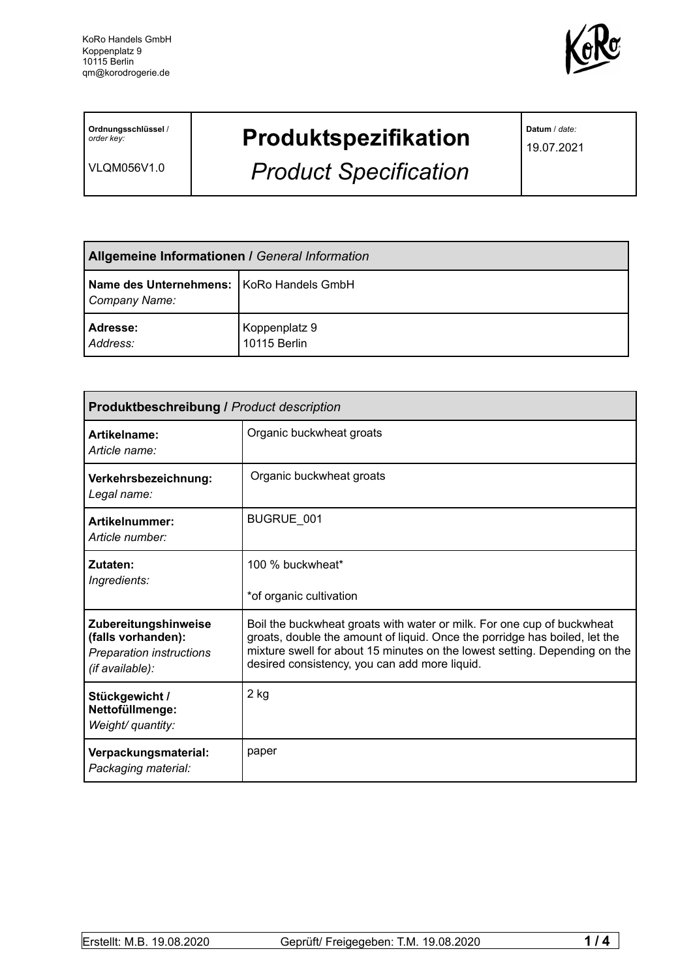

**Ordnungsschlüssel** / *order key:*

VLQM056V1.0

## **Produktspezifikation**

*Product Specification*

**Datum** / *date:*

19.07.2021

| <b>Allgemeine Informationen / General Information</b>       |                               |  |
|-------------------------------------------------------------|-------------------------------|--|
| Name des Unternehmens:   KoRo Handels GmbH<br>Company Name: |                               |  |
| Adresse:<br>Address:                                        | Koppenplatz 9<br>10115 Berlin |  |

| <b>Produktbeschreibung / Product description</b>                                                 |                                                                                                                                                                                                                                                                                     |  |  |
|--------------------------------------------------------------------------------------------------|-------------------------------------------------------------------------------------------------------------------------------------------------------------------------------------------------------------------------------------------------------------------------------------|--|--|
| Artikelname:<br>Article name:                                                                    | Organic buckwheat groats                                                                                                                                                                                                                                                            |  |  |
| Verkehrsbezeichnung:<br>Legal name:                                                              | Organic buckwheat groats                                                                                                                                                                                                                                                            |  |  |
| Artikelnummer:<br>Article number:                                                                | BUGRUE 001                                                                                                                                                                                                                                                                          |  |  |
| Zutaten:<br>Ingredients:                                                                         | 100 % buckwheat*<br>*of organic cultivation                                                                                                                                                                                                                                         |  |  |
| Zubereitungshinweise<br>(falls vorhanden):<br><b>Preparation instructions</b><br>(if available): | Boil the buckwheat groats with water or milk. For one cup of buckwheat<br>groats, double the amount of liquid. Once the porridge has boiled, let the<br>mixture swell for about 15 minutes on the lowest setting. Depending on the<br>desired consistency, you can add more liquid. |  |  |
| Stückgewicht /<br>Nettofüllmenge:<br>Weight/ quantity:                                           | $2$ kg                                                                                                                                                                                                                                                                              |  |  |
| Verpackungsmaterial:<br>Packaging material:                                                      | paper                                                                                                                                                                                                                                                                               |  |  |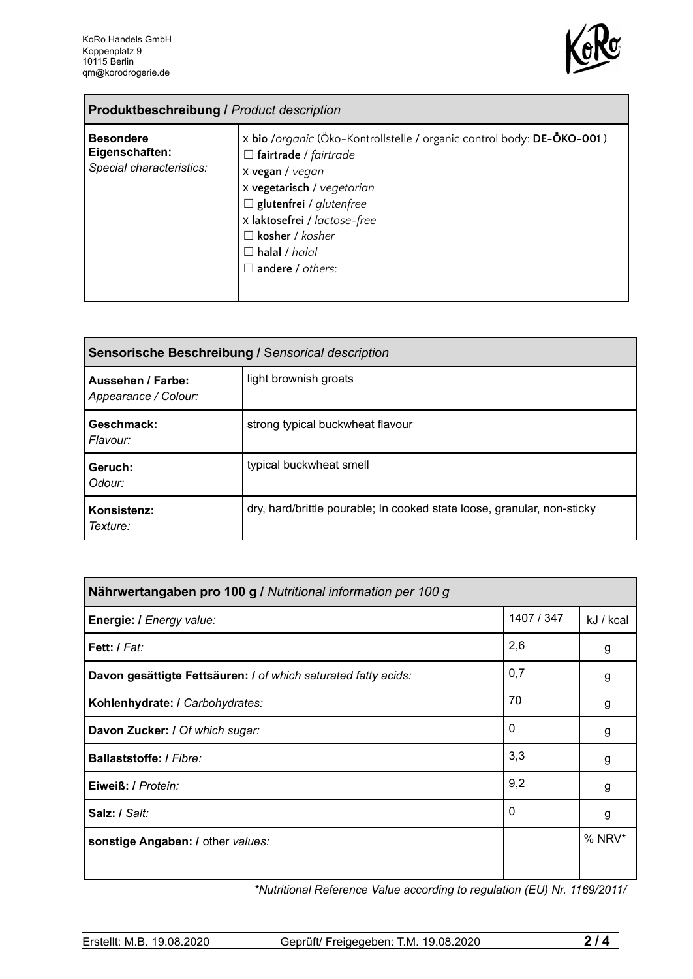

| <b>Produktbeschreibung / Product description</b>               |                                                                                                                                                                                                                                                                                                        |  |
|----------------------------------------------------------------|--------------------------------------------------------------------------------------------------------------------------------------------------------------------------------------------------------------------------------------------------------------------------------------------------------|--|
| <b>Besondere</b><br>Eigenschaften:<br>Special characteristics: | x bio /organic (Öko-Kontrollstelle / organic control body: DE-ÖKO-001)<br>$\Box$ fairtrade / fairtrade<br>x vegan / vegan<br>x vegetarisch / vegetarian<br>$\Box$ glutenfrei / glutenfree<br>x laktosefrei / lactose-free<br>$\Box$ kosher / kosher<br>$\Box$ halal / halal<br>$\Box$ andere / others: |  |

| Sensorische Beschreibung / Sensorical description |                                                                         |  |
|---------------------------------------------------|-------------------------------------------------------------------------|--|
| Aussehen / Farbe:<br>Appearance / Colour:         | light brownish groats                                                   |  |
| Geschmack:<br>Flavour:                            | strong typical buckwheat flavour                                        |  |
| Geruch:<br>Odour:                                 | typical buckwheat smell                                                 |  |
| Konsistenz:<br>Texture:                           | dry, hard/brittle pourable; In cooked state loose, granular, non-sticky |  |

| Nährwertangaben pro 100 g / Nutritional information per 100 g  |            |           |
|----------------------------------------------------------------|------------|-----------|
| Energie: I Energy value:                                       | 1407 / 347 | kJ / kcal |
| Fett: / Fat:                                                   | 2,6        | g         |
| Davon gesättigte Fettsäuren: I of which saturated fatty acids: | 0,7        | g         |
| Kohlenhydrate: I Carbohydrates:                                | 70         | g         |
| Davon Zucker: / Of which sugar:                                | 0          | g         |
| Ballaststoffe: / Fibre:                                        | 3,3        | g         |
| Eiweiß: / Protein:                                             | 9,2        | g         |
| Salz: / Salt:                                                  | 0          | g         |
| sonstige Angaben: / other values:                              |            | % NRV*    |
|                                                                |            |           |

*\*Nutritional Reference Value according to regulation (EU) Nr. 1169/2011/*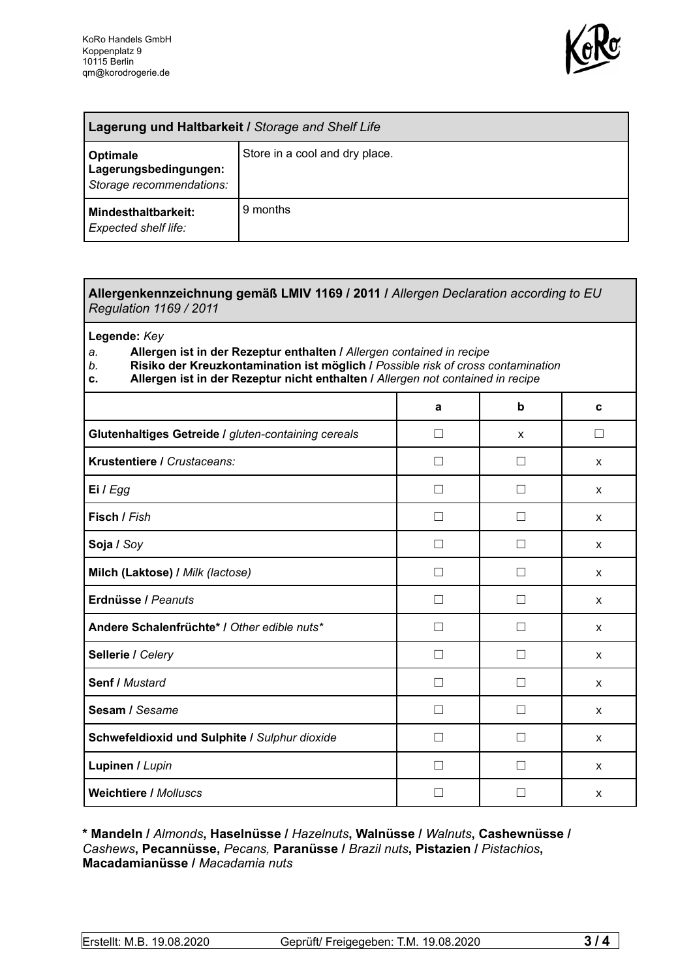

| Lagerung und Haltbarkeit / Storage and Shelf Life             |                                |  |
|---------------------------------------------------------------|--------------------------------|--|
| Optimale<br>Lagerungsbedingungen:<br>Storage recommendations: | Store in a cool and dry place. |  |
| <b>Mindesthaltbarkeit:</b><br>Expected shelf life:            | 9 months                       |  |

## **Allergenkennzeichnung gemäß LMIV 1169 / 2011 /** *Allergen Declaration according to EU Regulation 1169 / 2011*

**Legende:** *Key*

*a.* **Allergen ist in der Rezeptur enthalten /** *Allergen contained in recipe*

- *b.* **Risiko der Kreuzkontamination ist möglich /** *Possible risk of cross contamination*
- **c. Allergen ist in der Rezeptur nicht enthalten /** *Allergen not contained in recipe*

|                                                     | a            | b                 | C            |
|-----------------------------------------------------|--------------|-------------------|--------------|
| Glutenhaltiges Getreide / gluten-containing cereals | П            | X                 | □            |
| Krustentiere / Crustaceans:                         | $\mathbf{I}$ | $\vert \ \ \vert$ | X            |
| Ei / Egg                                            |              |                   | X            |
| Fisch / Fish                                        |              |                   | $\mathsf{x}$ |
| Soja / Soy                                          | П            |                   | $\mathsf{x}$ |
| Milch (Laktose) / Milk (lactose)                    | Г            |                   | X            |
| Erdnüsse / Peanuts                                  | П            | $\vert \ \ \vert$ | $\mathsf{x}$ |
| Andere Schalenfrüchte* / Other edible nuts*         | П            | П                 | X            |
| Sellerie / Celery                                   | П            | u                 | $\mathsf{x}$ |
| Senf / Mustard                                      | П            | $\perp$           | X            |
| Sesam / Sesame                                      | П            | Ш                 | $\mathsf{x}$ |
| Schwefeldioxid und Sulphite / Sulphur dioxide       | П            |                   | X            |
| Lupinen / Lupin                                     |              |                   | X            |
| <b>Weichtiere / Molluscs</b>                        |              |                   | X            |

**\* Mandeln /** *Almonds***, Haselnüsse /** *Hazelnuts***, Walnüsse /** *Walnuts***, Cashewnüsse /** *Cashews***, Pecannüsse,** *Pecans,* **Paranüsse /** *Brazil nuts***, Pistazien /** *Pistachios***, Macadamianüsse /** *Macadamia nuts*